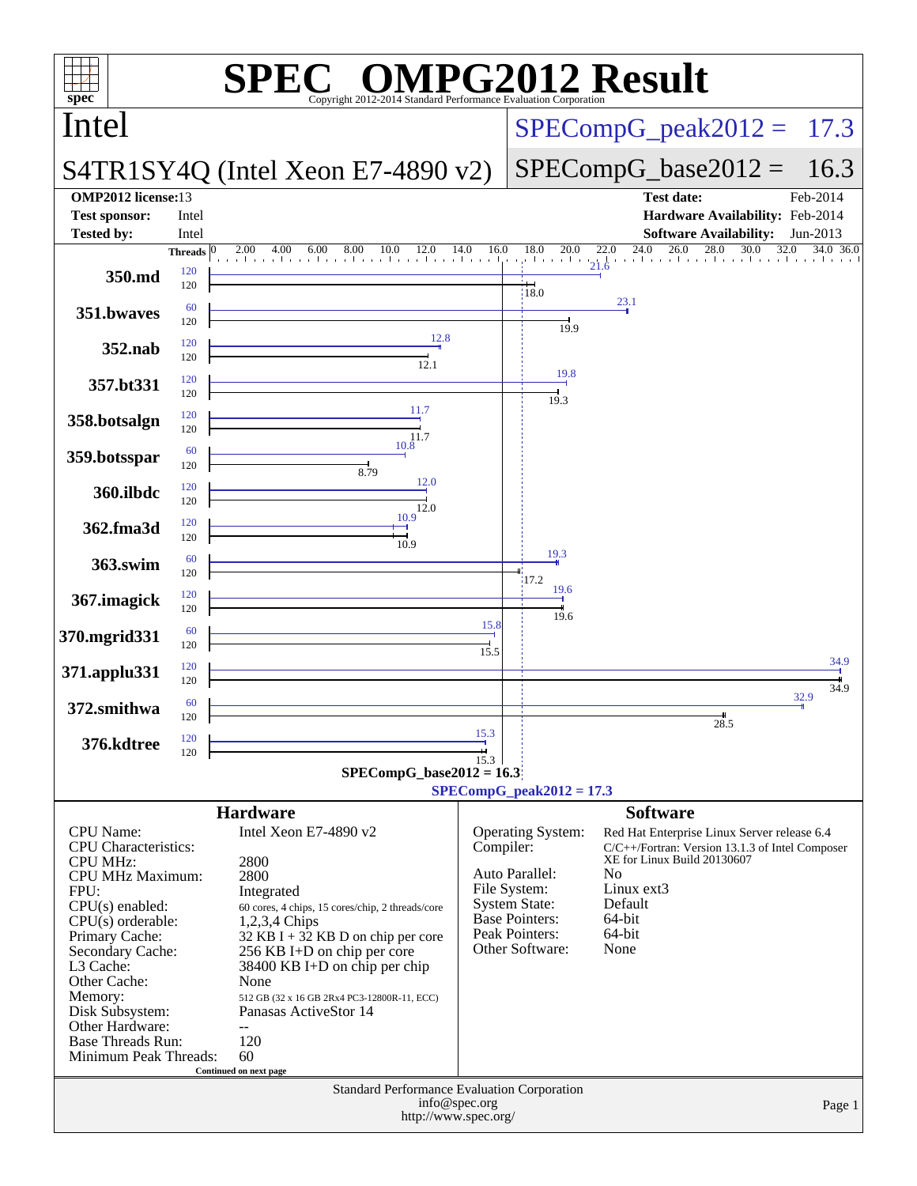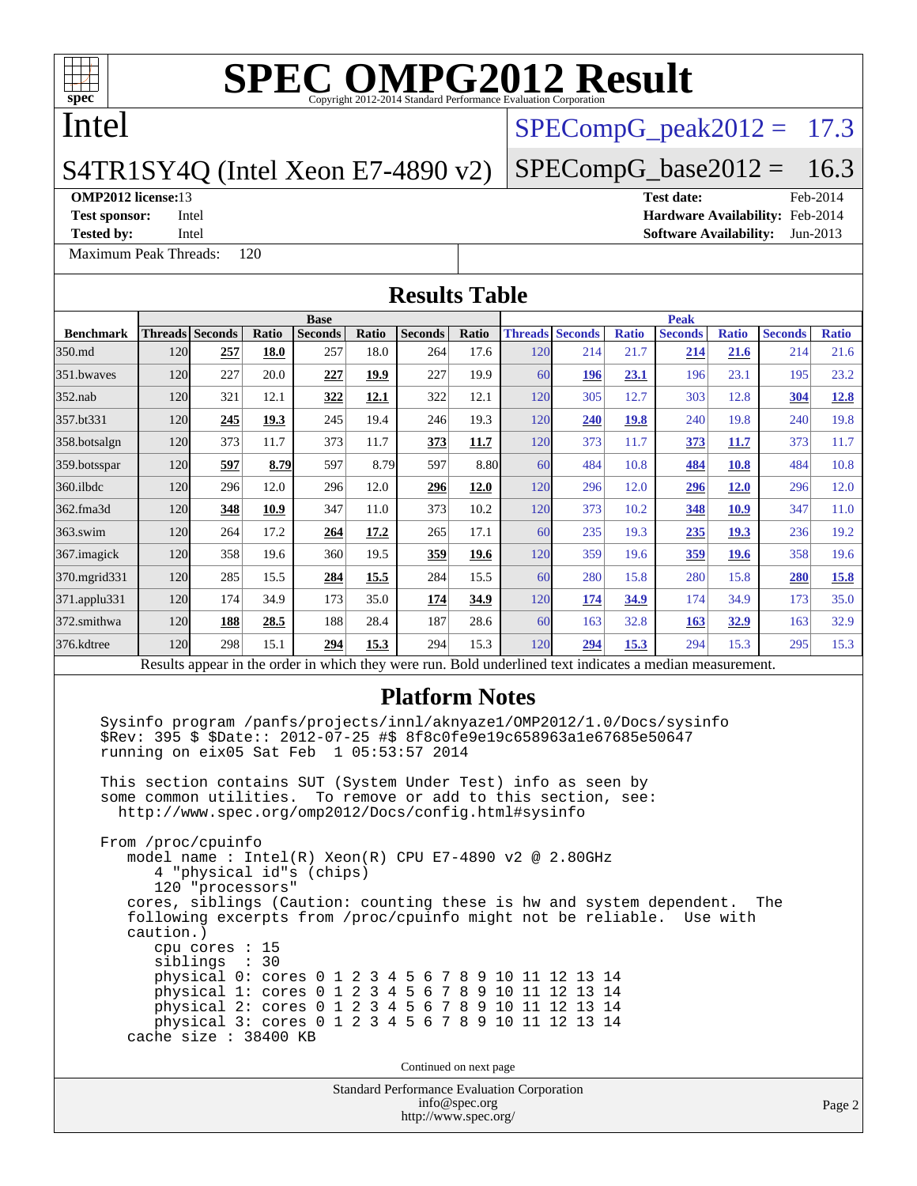

## Intel

### S4TR1SY4Q (Intel Xeon E7-4890 v2)

**[Tested by:](http://www.spec.org/auto/omp2012/Docs/result-fields.html#Testedby)** Intel **[Software Availability:](http://www.spec.org/auto/omp2012/Docs/result-fields.html#SoftwareAvailability)** Jun-2013

[Maximum Peak Threads:](http://www.spec.org/auto/omp2012/Docs/result-fields.html#MaximumPeakThreads) 120

 $SPECompG<sub>peak2012</sub> = 17.3$ 

### $SPECompG_base2012 = 16.3$  $SPECompG_base2012 = 16.3$

## **[OMP2012 license:](http://www.spec.org/auto/omp2012/Docs/result-fields.html#OMP2012license)**13 **[Test date:](http://www.spec.org/auto/omp2012/Docs/result-fields.html#Testdate)** Feb-2014

**[Test sponsor:](http://www.spec.org/auto/omp2012/Docs/result-fields.html#Testsponsor)** Intel **[Hardware Availability:](http://www.spec.org/auto/omp2012/Docs/result-fields.html#HardwareAvailability)** Feb-2014

Standard Performance Evaluation Corporation [info@spec.org](mailto:info@spec.org) <http://www.spec.org/> Page 2 **[Results Table](http://www.spec.org/auto/omp2012/Docs/result-fields.html#ResultsTable) [Benchmark](http://www.spec.org/auto/omp2012/Docs/result-fields.html#Benchmark) [Threads](http://www.spec.org/auto/omp2012/Docs/result-fields.html#Threads) [Seconds](http://www.spec.org/auto/omp2012/Docs/result-fields.html#Seconds) [Ratio](http://www.spec.org/auto/omp2012/Docs/result-fields.html#Ratio) [Seconds](http://www.spec.org/auto/omp2012/Docs/result-fields.html#Seconds) [Ratio](http://www.spec.org/auto/omp2012/Docs/result-fields.html#Ratio) [Seconds](http://www.spec.org/auto/omp2012/Docs/result-fields.html#Seconds) [Ratio](http://www.spec.org/auto/omp2012/Docs/result-fields.html#Ratio) Base [Threads](http://www.spec.org/auto/omp2012/Docs/result-fields.html#Threads) [Seconds](http://www.spec.org/auto/omp2012/Docs/result-fields.html#Seconds) [Ratio](http://www.spec.org/auto/omp2012/Docs/result-fields.html#Ratio) [Seconds](http://www.spec.org/auto/omp2012/Docs/result-fields.html#Seconds) [Ratio](http://www.spec.org/auto/omp2012/Docs/result-fields.html#Ratio) [Seconds](http://www.spec.org/auto/omp2012/Docs/result-fields.html#Seconds) [Ratio](http://www.spec.org/auto/omp2012/Docs/result-fields.html#Ratio) Peak** [350.md](http://www.spec.org/auto/omp2012/Docs/350.md.html) 120 **[257](http://www.spec.org/auto/omp2012/Docs/result-fields.html#Median) [18.0](http://www.spec.org/auto/omp2012/Docs/result-fields.html#Median)** 257 18.0 264 17.6 120 214 21.7 **[214](http://www.spec.org/auto/omp2012/Docs/result-fields.html#Median) [21.6](http://www.spec.org/auto/omp2012/Docs/result-fields.html#Median)** 214 21.6 [351.bwaves](http://www.spec.org/auto/omp2012/Docs/351.bwaves.html) 120 227 20.0 **[227](http://www.spec.org/auto/omp2012/Docs/result-fields.html#Median) [19.9](http://www.spec.org/auto/omp2012/Docs/result-fields.html#Median)** 227 19.9 60 **[196](http://www.spec.org/auto/omp2012/Docs/result-fields.html#Median) [23.1](http://www.spec.org/auto/omp2012/Docs/result-fields.html#Median)** 196 23.1 195 23.2 [352.nab](http://www.spec.org/auto/omp2012/Docs/352.nab.html) 120 321 12.1 **[322](http://www.spec.org/auto/omp2012/Docs/result-fields.html#Median) [12.1](http://www.spec.org/auto/omp2012/Docs/result-fields.html#Median)** 322 12.1 120 305 12.7 303 12.8 **[304](http://www.spec.org/auto/omp2012/Docs/result-fields.html#Median) [12.8](http://www.spec.org/auto/omp2012/Docs/result-fields.html#Median)** [357.bt331](http://www.spec.org/auto/omp2012/Docs/357.bt331.html) 120 **[245](http://www.spec.org/auto/omp2012/Docs/result-fields.html#Median) [19.3](http://www.spec.org/auto/omp2012/Docs/result-fields.html#Median)** 245 19.4 246 19.3 120 **[240](http://www.spec.org/auto/omp2012/Docs/result-fields.html#Median) [19.8](http://www.spec.org/auto/omp2012/Docs/result-fields.html#Median)** 240 19.8 240 19.8 [358.botsalgn](http://www.spec.org/auto/omp2012/Docs/358.botsalgn.html) 120 373 11.7 373 11.7 **[373](http://www.spec.org/auto/omp2012/Docs/result-fields.html#Median) [11.7](http://www.spec.org/auto/omp2012/Docs/result-fields.html#Median)** 120 373 11.7 **[373](http://www.spec.org/auto/omp2012/Docs/result-fields.html#Median) [11.7](http://www.spec.org/auto/omp2012/Docs/result-fields.html#Median)** 373 11.7 [359.botsspar](http://www.spec.org/auto/omp2012/Docs/359.botsspar.html) 120 **[597](http://www.spec.org/auto/omp2012/Docs/result-fields.html#Median) [8.79](http://www.spec.org/auto/omp2012/Docs/result-fields.html#Median)** 597 8.79 597 8.80 60 484 10.8 **[484](http://www.spec.org/auto/omp2012/Docs/result-fields.html#Median) [10.8](http://www.spec.org/auto/omp2012/Docs/result-fields.html#Median)** 484 10.8 [360.ilbdc](http://www.spec.org/auto/omp2012/Docs/360.ilbdc.html) 120 296 12.0 296 12.0 **[296](http://www.spec.org/auto/omp2012/Docs/result-fields.html#Median) [12.0](http://www.spec.org/auto/omp2012/Docs/result-fields.html#Median)** 120 296 12.0 **[296](http://www.spec.org/auto/omp2012/Docs/result-fields.html#Median) [12.0](http://www.spec.org/auto/omp2012/Docs/result-fields.html#Median)** 296 12.0 [362.fma3d](http://www.spec.org/auto/omp2012/Docs/362.fma3d.html) 120 **[348](http://www.spec.org/auto/omp2012/Docs/result-fields.html#Median) [10.9](http://www.spec.org/auto/omp2012/Docs/result-fields.html#Median)** 347 11.0 373 10.2 120 373 10.2 **[348](http://www.spec.org/auto/omp2012/Docs/result-fields.html#Median) [10.9](http://www.spec.org/auto/omp2012/Docs/result-fields.html#Median)** 347 11.0 [363.swim](http://www.spec.org/auto/omp2012/Docs/363.swim.html) 120 264 17.2 **[264](http://www.spec.org/auto/omp2012/Docs/result-fields.html#Median) [17.2](http://www.spec.org/auto/omp2012/Docs/result-fields.html#Median)** 265 17.1 60 235 19.3 **[235](http://www.spec.org/auto/omp2012/Docs/result-fields.html#Median) [19.3](http://www.spec.org/auto/omp2012/Docs/result-fields.html#Median)** 236 19.2 [367.imagick](http://www.spec.org/auto/omp2012/Docs/367.imagick.html) 120 358 19.6 360 19.5 **[359](http://www.spec.org/auto/omp2012/Docs/result-fields.html#Median) [19.6](http://www.spec.org/auto/omp2012/Docs/result-fields.html#Median)** 120 359 19.6 **[359](http://www.spec.org/auto/omp2012/Docs/result-fields.html#Median) [19.6](http://www.spec.org/auto/omp2012/Docs/result-fields.html#Median)** 358 19.6 [370.mgrid331](http://www.spec.org/auto/omp2012/Docs/370.mgrid331.html) 120 285 15.5 **[284](http://www.spec.org/auto/omp2012/Docs/result-fields.html#Median) [15.5](http://www.spec.org/auto/omp2012/Docs/result-fields.html#Median)** 284 15.5 60 280 15.8 280 15.8 **[280](http://www.spec.org/auto/omp2012/Docs/result-fields.html#Median) [15.8](http://www.spec.org/auto/omp2012/Docs/result-fields.html#Median)** [371.applu331](http://www.spec.org/auto/omp2012/Docs/371.applu331.html) 120 174 34.9 173 35.0 **[174](http://www.spec.org/auto/omp2012/Docs/result-fields.html#Median) [34.9](http://www.spec.org/auto/omp2012/Docs/result-fields.html#Median)** 120 **[174](http://www.spec.org/auto/omp2012/Docs/result-fields.html#Median) [34.9](http://www.spec.org/auto/omp2012/Docs/result-fields.html#Median)** 174 34.9 173 35.0 [372.smithwa](http://www.spec.org/auto/omp2012/Docs/372.smithwa.html) 120 **[188](http://www.spec.org/auto/omp2012/Docs/result-fields.html#Median) [28.5](http://www.spec.org/auto/omp2012/Docs/result-fields.html#Median)** 188 28.4 187 28.6 60 163 32.8 **[163](http://www.spec.org/auto/omp2012/Docs/result-fields.html#Median) [32.9](http://www.spec.org/auto/omp2012/Docs/result-fields.html#Median)** 163 32.9 [376.kdtree](http://www.spec.org/auto/omp2012/Docs/376.kdtree.html) 120 298 15.1 **[294](http://www.spec.org/auto/omp2012/Docs/result-fields.html#Median) [15.3](http://www.spec.org/auto/omp2012/Docs/result-fields.html#Median)** 294 15.3 120 **[294](http://www.spec.org/auto/omp2012/Docs/result-fields.html#Median) [15.3](http://www.spec.org/auto/omp2012/Docs/result-fields.html#Median)** 294 15.3 295 15.3 Results appear in the [order in which they were run.](http://www.spec.org/auto/omp2012/Docs/result-fields.html#RunOrder) Bold underlined text [indicates a median measurement.](http://www.spec.org/auto/omp2012/Docs/result-fields.html#Median) **[Platform Notes](http://www.spec.org/auto/omp2012/Docs/result-fields.html#PlatformNotes)** Sysinfo program /panfs/projects/innl/aknyaze1/OMP2012/1.0/Docs/sysinfo \$Rev: 395 \$ \$Date:: 2012-07-25 #\$ 8f8c0fe9e19c658963a1e67685e50647 running on eix05 Sat Feb 1 05:53:57 2014 This section contains SUT (System Under Test) info as seen by some common utilities. To remove or add to this section, see: <http://www.spec.org/omp2012/Docs/config.html#sysinfo> From /proc/cpuinfo model name : Intel(R) Xeon(R) CPU E7-4890 v2 @ 2.80GHz 4 "physical id"s (chips) 120 "processors" cores, siblings (Caution: counting these is hw and system dependent. The following excerpts from /proc/cpuinfo might not be reliable. Use with caution.) cpu cores : 15 siblings : 30 physical 0: cores 0 1 2 3 4 5 6 7 8 9 10 11 12 13 14 physical 1: cores 0 1 2 3 4 5 6 7 8 9 10 11 12 13 14 physical 2: cores 0 1 2 3 4 5 6 7 8 9 10 11 12 13 14 physical 3: cores 0 1 2 3 4 5 6 7 8 9 10 11 12 13 14 cache size : 38400 KB Continued on next page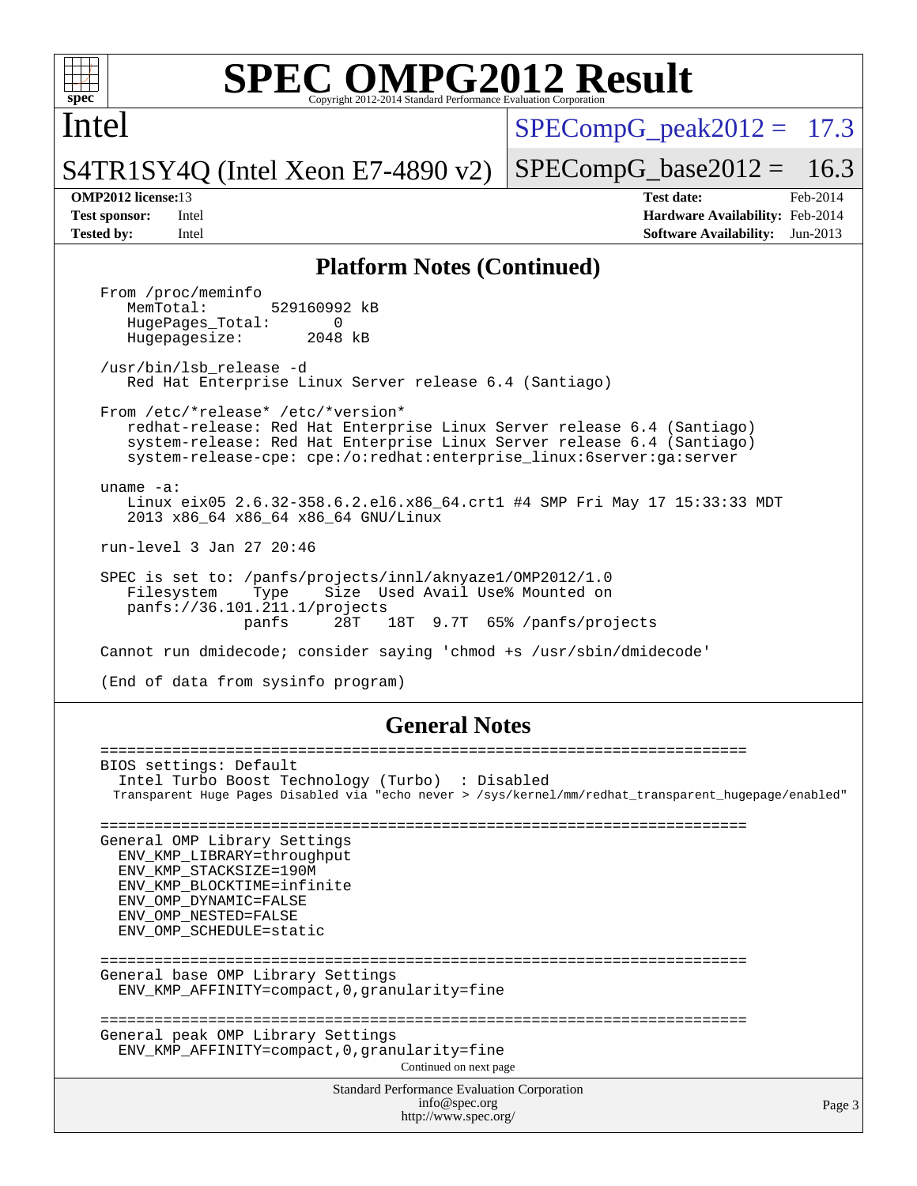

Intel

 $SPECompG<sub>peak2012</sub> = 17.3$ 

 $SPECompG_base2012 = 16.3$  $SPECompG_base2012 = 16.3$ 

S4TR1SY4Q (Intel Xeon E7-4890 v2)

**[OMP2012 license:](http://www.spec.org/auto/omp2012/Docs/result-fields.html#OMP2012license)**13 **[Test date:](http://www.spec.org/auto/omp2012/Docs/result-fields.html#Testdate)** Feb-2014 **[Test sponsor:](http://www.spec.org/auto/omp2012/Docs/result-fields.html#Testsponsor)** Intel **[Hardware Availability:](http://www.spec.org/auto/omp2012/Docs/result-fields.html#HardwareAvailability)** Feb-2014 **[Tested by:](http://www.spec.org/auto/omp2012/Docs/result-fields.html#Testedby)** Intel **[Software Availability:](http://www.spec.org/auto/omp2012/Docs/result-fields.html#SoftwareAvailability)** Jun-2013

### **[Platform Notes \(Continued\)](http://www.spec.org/auto/omp2012/Docs/result-fields.html#PlatformNotes)**

From /proc/meminfo<br>MemTotal: 529160992 kB HugePages\_Total: 0<br>Hugepagesize: 2048 kB Hugepagesize: /usr/bin/lsb\_release -d Red Hat Enterprise Linux Server release 6.4 (Santiago) From /etc/\*release\* /etc/\*version\* redhat-release: Red Hat Enterprise Linux Server release 6.4 (Santiago) system-release: Red Hat Enterprise Linux Server release 6.4 (Santiago) system-release-cpe: cpe:/o:redhat:enterprise\_linux:6server:ga:server uname -a: Linux eix05 2.6.32-358.6.2.el6.x86\_64.crt1 #4 SMP Fri May 17 15:33:33 MDT 2013 x86\_64 x86\_64 x86\_64 GNU/Linux run-level 3 Jan 27 20:46 SPEC is set to: /panfs/projects/innl/aknyaze1/OMP2012/1.0 Filesystem Type Size Used Avail Use% Mounted on panfs://36.101.211.1/projects 28T 18T 9.7T 65% /panfs/projects Cannot run dmidecode; consider saying 'chmod +s /usr/sbin/dmidecode' (End of data from sysinfo program) **[General Notes](http://www.spec.org/auto/omp2012/Docs/result-fields.html#GeneralNotes)**

Standard Performance Evaluation Corporation [info@spec.org](mailto:info@spec.org) <http://www.spec.org/> Page 3 ======================================================================== BIOS settings: Default Intel Turbo Boost Technology (Turbo) : Disabled Transparent Huge Pages Disabled via "echo never > /sys/kernel/mm/redhat\_transparent\_hugepage/enabled" ======================================================================== General OMP Library Settings ENV\_KMP\_LIBRARY=throughput ENV\_KMP\_STACKSIZE=190M ENV\_KMP\_BLOCKTIME=infinite ENV\_OMP\_DYNAMIC=FALSE ENV\_OMP\_NESTED=FALSE ENV\_OMP\_SCHEDULE=static ======================================================================== General base OMP Library Settings ENV\_KMP\_AFFINITY=compact,0,granularity=fine ======================================================================== General peak OMP Library Settings ENV\_KMP\_AFFINITY=compact,0,granularity=fine Continued on next page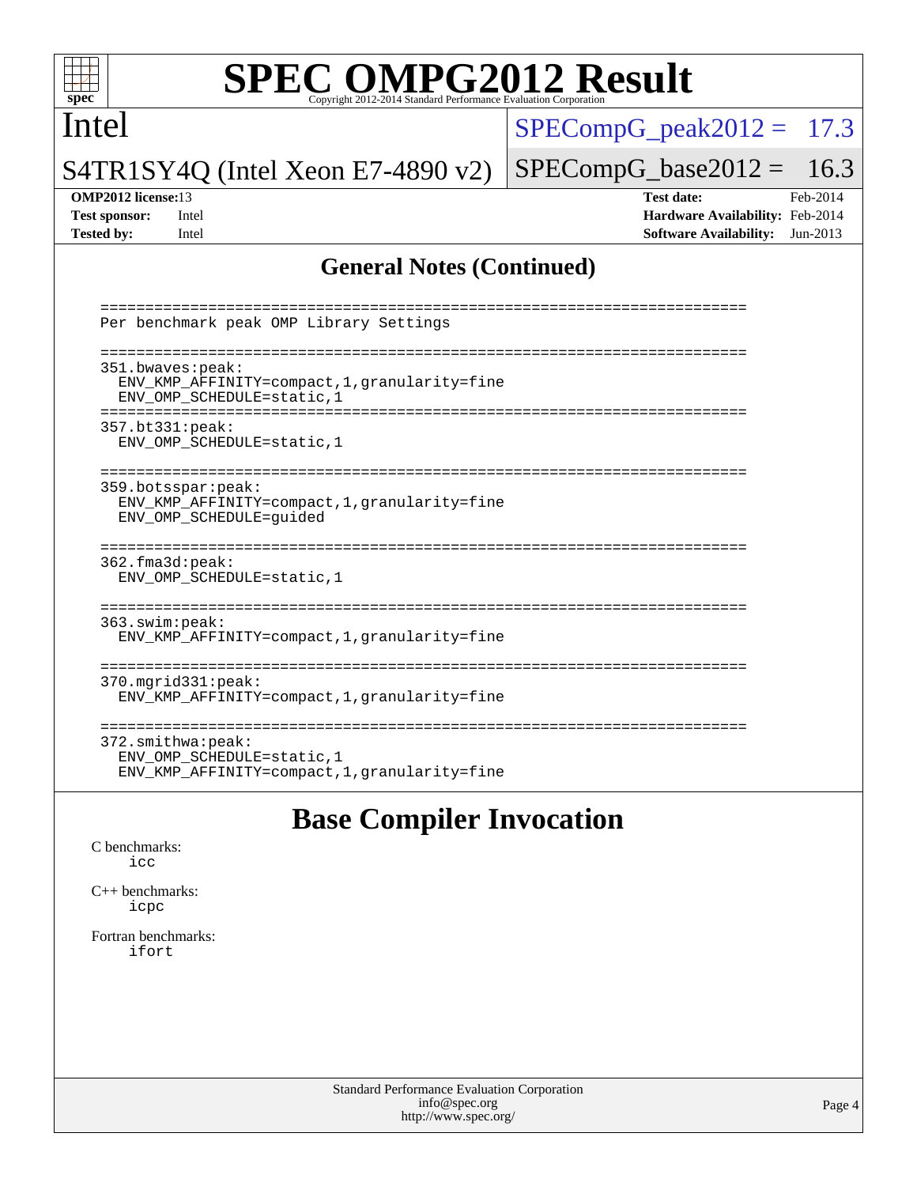

## Intel

 $SPECompG_peak2012 = 17.3$  $SPECompG_peak2012 = 17.3$ 

S4TR1SY4Q (Intel Xeon E7-4890 v2)

 $SPECompG_base2012 = 16.3$  $SPECompG_base2012 = 16.3$ 

**[OMP2012 license:](http://www.spec.org/auto/omp2012/Docs/result-fields.html#OMP2012license)**13 **[Test date:](http://www.spec.org/auto/omp2012/Docs/result-fields.html#Testdate)** Feb-2014 **[Test sponsor:](http://www.spec.org/auto/omp2012/Docs/result-fields.html#Testsponsor)** Intel **[Hardware Availability:](http://www.spec.org/auto/omp2012/Docs/result-fields.html#HardwareAvailability)** Feb-2014 **[Tested by:](http://www.spec.org/auto/omp2012/Docs/result-fields.html#Testedby)** Intel **[Software Availability:](http://www.spec.org/auto/omp2012/Docs/result-fields.html#SoftwareAvailability)** Jun-2013

### **[General Notes \(Continued\)](http://www.spec.org/auto/omp2012/Docs/result-fields.html#GeneralNotes)**

| Per benchmark peak OMP Library Settings                                                                   |
|-----------------------------------------------------------------------------------------------------------|
| 351.bwaves:peak:<br>ENV_KMP_AFFINITY=compact, 1, granularity=fine<br>ENV OMP SCHEDULE=static, 1           |
| 357.bt331:peak:<br>ENV OMP SCHEDULE=static, 1                                                             |
| 359.botsspar:peak:<br>ENV KMP AFFINITY=compact, 1, granularity=fine<br>ENV OMP SCHEDULE=quided            |
| 362.fma3d:peak:<br>ENV OMP SCHEDULE=static, 1                                                             |
| 363.swim:peak:<br>ENV_KMP_AFFINITY=compact, 1, granularity=fine                                           |
| $370.\text{mgrid}331:\text{peak}:$<br>ENV KMP AFFINITY=compact, 1, granularity=fine                       |
| $372.\text{smithwa:peak}:$<br>ENV OMP SCHEDULE=static, 1<br>ENV KMP AFFINITY=compact, 1, qranularity=fine |

# **[Base Compiler Invocation](http://www.spec.org/auto/omp2012/Docs/result-fields.html#BaseCompilerInvocation)**

[C benchmarks](http://www.spec.org/auto/omp2012/Docs/result-fields.html#Cbenchmarks): [icc](http://www.spec.org/omp2012/results/res2014q1/omp2012-20140204-00043.flags.html#user_CCbase_intel_icc_a87c68a857bc5ec5362391a49d3a37a6)

[C++ benchmarks:](http://www.spec.org/auto/omp2012/Docs/result-fields.html#CXXbenchmarks) [icpc](http://www.spec.org/omp2012/results/res2014q1/omp2012-20140204-00043.flags.html#user_CXXbase_intel_icpc_2d899f8d163502b12eb4a60069f80c1c)

[Fortran benchmarks](http://www.spec.org/auto/omp2012/Docs/result-fields.html#Fortranbenchmarks): [ifort](http://www.spec.org/omp2012/results/res2014q1/omp2012-20140204-00043.flags.html#user_FCbase_intel_ifort_8a5e5e06b19a251bdeaf8fdab5d62f20)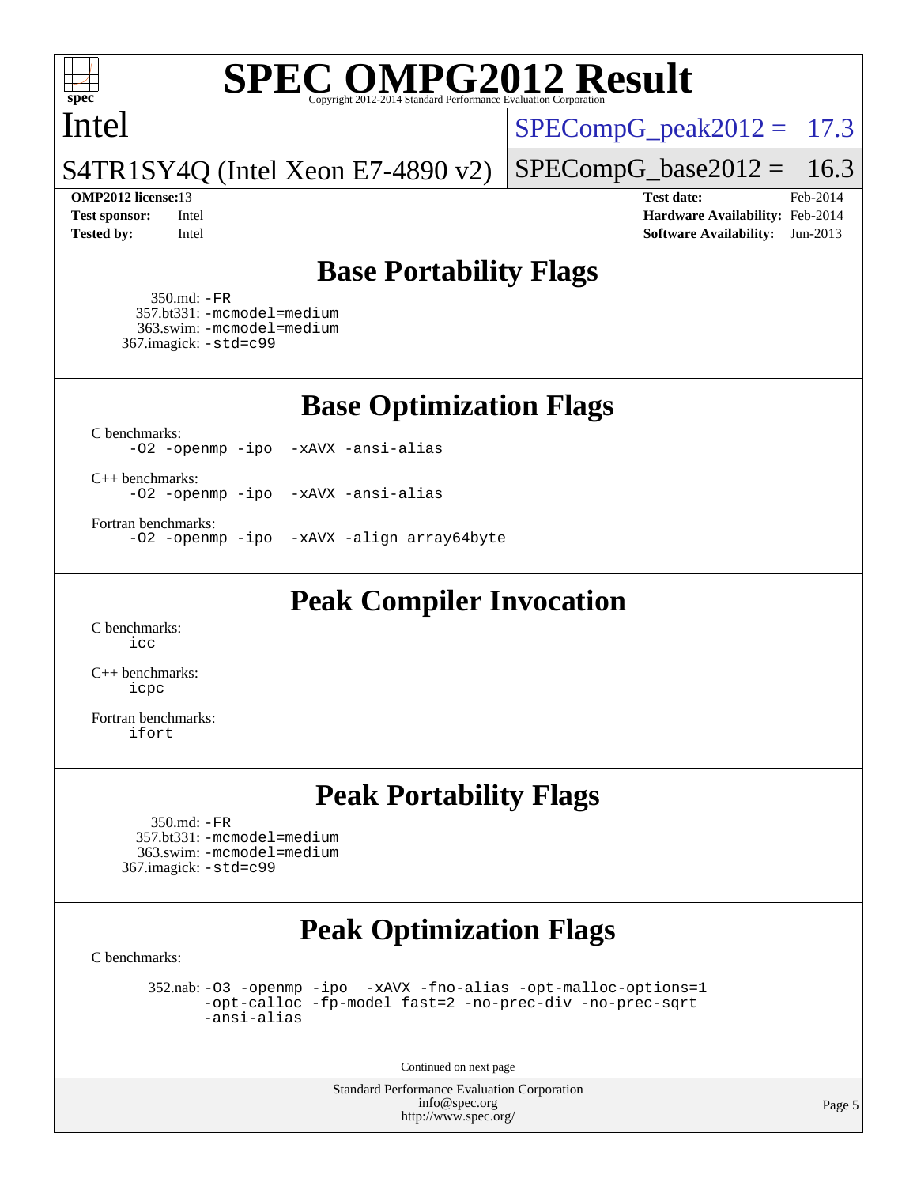

### Intel

 $SPECompG_peak2012 = 17.3$  $SPECompG_peak2012 = 17.3$ 

S4TR1SY4Q (Intel Xeon E7-4890 v2)

**[Test sponsor:](http://www.spec.org/auto/omp2012/Docs/result-fields.html#Testsponsor)** Intel **[Hardware Availability:](http://www.spec.org/auto/omp2012/Docs/result-fields.html#HardwareAvailability)** Feb-2014 **[Tested by:](http://www.spec.org/auto/omp2012/Docs/result-fields.html#Testedby)** Intel **[Software Availability:](http://www.spec.org/auto/omp2012/Docs/result-fields.html#SoftwareAvailability)** Jun-2013

 $SPECompG_base2012 = 16.3$  $SPECompG_base2012 = 16.3$ **[OMP2012 license:](http://www.spec.org/auto/omp2012/Docs/result-fields.html#OMP2012license)**13 **[Test date:](http://www.spec.org/auto/omp2012/Docs/result-fields.html#Testdate)** Feb-2014

**[Base Portability Flags](http://www.spec.org/auto/omp2012/Docs/result-fields.html#BasePortabilityFlags)**

 350.md: [-FR](http://www.spec.org/omp2012/results/res2014q1/omp2012-20140204-00043.flags.html#user_baseFPORTABILITY350_md_f-FR) 357.bt331: [-mcmodel=medium](http://www.spec.org/omp2012/results/res2014q1/omp2012-20140204-00043.flags.html#user_basePORTABILITY357_bt331_f-mcmodel_3a41622424bdd074c4f0f2d2f224c7e5) 363.swim: [-mcmodel=medium](http://www.spec.org/omp2012/results/res2014q1/omp2012-20140204-00043.flags.html#user_basePORTABILITY363_swim_f-mcmodel_3a41622424bdd074c4f0f2d2f224c7e5) 367.imagick: [-std=c99](http://www.spec.org/omp2012/results/res2014q1/omp2012-20140204-00043.flags.html#user_baseCPORTABILITY367_imagick_f-std_2ec6533b6e06f1c4a6c9b78d9e9cde24)

**[Base Optimization Flags](http://www.spec.org/auto/omp2012/Docs/result-fields.html#BaseOptimizationFlags)**

[C benchmarks](http://www.spec.org/auto/omp2012/Docs/result-fields.html#Cbenchmarks):

[-O2](http://www.spec.org/omp2012/results/res2014q1/omp2012-20140204-00043.flags.html#user_CCbase_f-O2) [-openmp](http://www.spec.org/omp2012/results/res2014q1/omp2012-20140204-00043.flags.html#user_CCbase_f-openmp) [-ipo](http://www.spec.org/omp2012/results/res2014q1/omp2012-20140204-00043.flags.html#user_CCbase_f-ipo_84062ab53814f613187d02344b8f49a7) [-xAVX](http://www.spec.org/omp2012/results/res2014q1/omp2012-20140204-00043.flags.html#user_CCbase_f-xAVX) [-ansi-alias](http://www.spec.org/omp2012/results/res2014q1/omp2012-20140204-00043.flags.html#user_CCbase_f-ansi-alias)

[C++ benchmarks:](http://www.spec.org/auto/omp2012/Docs/result-fields.html#CXXbenchmarks) [-O2](http://www.spec.org/omp2012/results/res2014q1/omp2012-20140204-00043.flags.html#user_CXXbase_f-O2) [-openmp](http://www.spec.org/omp2012/results/res2014q1/omp2012-20140204-00043.flags.html#user_CXXbase_f-openmp) [-ipo](http://www.spec.org/omp2012/results/res2014q1/omp2012-20140204-00043.flags.html#user_CXXbase_f-ipo_84062ab53814f613187d02344b8f49a7) [-xAVX](http://www.spec.org/omp2012/results/res2014q1/omp2012-20140204-00043.flags.html#user_CXXbase_f-xAVX) [-ansi-alias](http://www.spec.org/omp2012/results/res2014q1/omp2012-20140204-00043.flags.html#user_CXXbase_f-ansi-alias)

[Fortran benchmarks](http://www.spec.org/auto/omp2012/Docs/result-fields.html#Fortranbenchmarks):

[-O2](http://www.spec.org/omp2012/results/res2014q1/omp2012-20140204-00043.flags.html#user_FCbase_f-O2) [-openmp](http://www.spec.org/omp2012/results/res2014q1/omp2012-20140204-00043.flags.html#user_FCbase_f-openmp) [-ipo](http://www.spec.org/omp2012/results/res2014q1/omp2012-20140204-00043.flags.html#user_FCbase_f-ipo_84062ab53814f613187d02344b8f49a7) [-xAVX](http://www.spec.org/omp2012/results/res2014q1/omp2012-20140204-00043.flags.html#user_FCbase_f-xAVX) [-align array64byte](http://www.spec.org/omp2012/results/res2014q1/omp2012-20140204-00043.flags.html#user_FCbase_f-align_c9377f996e966d652baaf753401d4725)

**[Peak Compiler Invocation](http://www.spec.org/auto/omp2012/Docs/result-fields.html#PeakCompilerInvocation)**

[C benchmarks](http://www.spec.org/auto/omp2012/Docs/result-fields.html#Cbenchmarks): [icc](http://www.spec.org/omp2012/results/res2014q1/omp2012-20140204-00043.flags.html#user_CCpeak_intel_icc_a87c68a857bc5ec5362391a49d3a37a6)

[C++ benchmarks:](http://www.spec.org/auto/omp2012/Docs/result-fields.html#CXXbenchmarks) [icpc](http://www.spec.org/omp2012/results/res2014q1/omp2012-20140204-00043.flags.html#user_CXXpeak_intel_icpc_2d899f8d163502b12eb4a60069f80c1c)

[Fortran benchmarks](http://www.spec.org/auto/omp2012/Docs/result-fields.html#Fortranbenchmarks): [ifort](http://www.spec.org/omp2012/results/res2014q1/omp2012-20140204-00043.flags.html#user_FCpeak_intel_ifort_8a5e5e06b19a251bdeaf8fdab5d62f20)

## **[Peak Portability Flags](http://www.spec.org/auto/omp2012/Docs/result-fields.html#PeakPortabilityFlags)**

 350.md: [-FR](http://www.spec.org/omp2012/results/res2014q1/omp2012-20140204-00043.flags.html#user_peakFPORTABILITY350_md_f-FR) 357.bt331: [-mcmodel=medium](http://www.spec.org/omp2012/results/res2014q1/omp2012-20140204-00043.flags.html#user_peakPORTABILITY357_bt331_f-mcmodel_3a41622424bdd074c4f0f2d2f224c7e5) 363.swim: [-mcmodel=medium](http://www.spec.org/omp2012/results/res2014q1/omp2012-20140204-00043.flags.html#user_peakPORTABILITY363_swim_f-mcmodel_3a41622424bdd074c4f0f2d2f224c7e5) 367.imagick: [-std=c99](http://www.spec.org/omp2012/results/res2014q1/omp2012-20140204-00043.flags.html#user_peakCPORTABILITY367_imagick_f-std_2ec6533b6e06f1c4a6c9b78d9e9cde24)

# **[Peak Optimization Flags](http://www.spec.org/auto/omp2012/Docs/result-fields.html#PeakOptimizationFlags)**

[C benchmarks](http://www.spec.org/auto/omp2012/Docs/result-fields.html#Cbenchmarks):

 352.nab: [-O3](http://www.spec.org/omp2012/results/res2014q1/omp2012-20140204-00043.flags.html#user_peakOPTIMIZE352_nab_f-O3) [-openmp](http://www.spec.org/omp2012/results/res2014q1/omp2012-20140204-00043.flags.html#user_peakOPTIMIZE352_nab_f-openmp) [-ipo](http://www.spec.org/omp2012/results/res2014q1/omp2012-20140204-00043.flags.html#user_peakOPTIMIZE352_nab_f-ipo_84062ab53814f613187d02344b8f49a7) [-xAVX](http://www.spec.org/omp2012/results/res2014q1/omp2012-20140204-00043.flags.html#user_peakOPTIMIZE352_nab_f-xAVX) [-fno-alias](http://www.spec.org/omp2012/results/res2014q1/omp2012-20140204-00043.flags.html#user_peakOPTIMIZE352_nab_f-no-alias_694e77f6c5a51e658e82ccff53a9e63a) [-opt-malloc-options=1](http://www.spec.org/omp2012/results/res2014q1/omp2012-20140204-00043.flags.html#user_peakOPTIMIZE352_nab_f-opt-malloc-options_d882ffc6ff87e51efe45f9a5190004b0) [-opt-calloc](http://www.spec.org/omp2012/results/res2014q1/omp2012-20140204-00043.flags.html#user_peakOPTIMIZE352_nab_f-opt-calloc) [-fp-model fast=2](http://www.spec.org/omp2012/results/res2014q1/omp2012-20140204-00043.flags.html#user_peakOPTIMIZE352_nab_f-fp-model_a7fb8ccb7275e23f0079632c153cfcab) [-no-prec-div](http://www.spec.org/omp2012/results/res2014q1/omp2012-20140204-00043.flags.html#user_peakOPTIMIZE352_nab_f-no-prec-div) [-no-prec-sqrt](http://www.spec.org/omp2012/results/res2014q1/omp2012-20140204-00043.flags.html#user_peakOPTIMIZE352_nab_f-no-prec-sqrt) [-ansi-alias](http://www.spec.org/omp2012/results/res2014q1/omp2012-20140204-00043.flags.html#user_peakCOPTIMIZE352_nab_f-ansi-alias)

Continued on next page

Standard Performance Evaluation Corporation [info@spec.org](mailto:info@spec.org) <http://www.spec.org/>

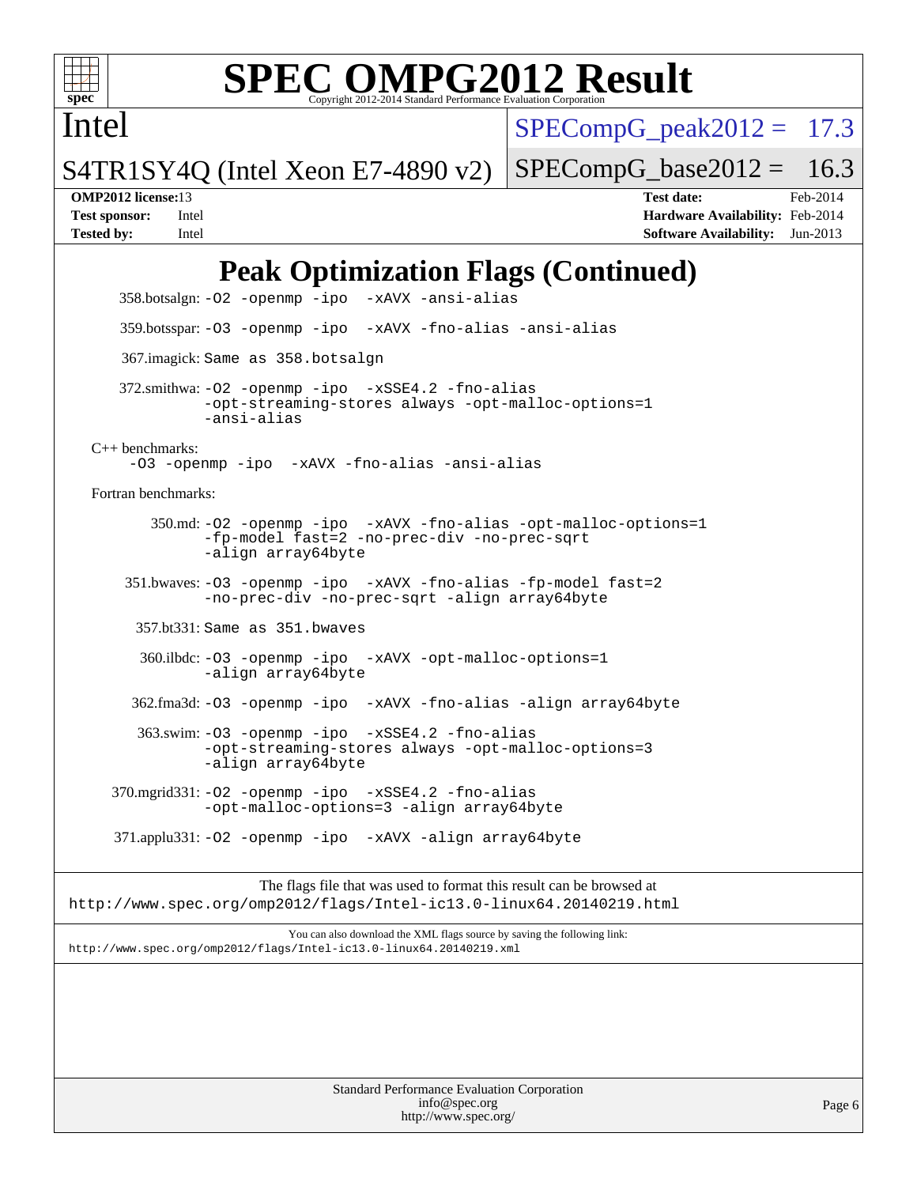

Intel

# **[SPEC OMPG2012 Result](http://www.spec.org/auto/omp2012/Docs/result-fields.html#SPECOMPG2012Result)**

 $SPECompG<sub>peak2012</sub> = 17.3$ 

S4TR1SY4Q (Intel Xeon E7-4890 v2)

 $SPECompG_base2012 = 16.3$  $SPECompG_base2012 = 16.3$ 

**[OMP2012 license:](http://www.spec.org/auto/omp2012/Docs/result-fields.html#OMP2012license)**13 **[Test date:](http://www.spec.org/auto/omp2012/Docs/result-fields.html#Testdate)** Feb-2014 **[Test sponsor:](http://www.spec.org/auto/omp2012/Docs/result-fields.html#Testsponsor)** Intel **[Hardware Availability:](http://www.spec.org/auto/omp2012/Docs/result-fields.html#HardwareAvailability)** Feb-2014 **[Tested by:](http://www.spec.org/auto/omp2012/Docs/result-fields.html#Testedby)** Intel **[Software Availability:](http://www.spec.org/auto/omp2012/Docs/result-fields.html#SoftwareAvailability)** Jun-2013

# **[Peak Optimization Flags \(Continued\)](http://www.spec.org/auto/omp2012/Docs/result-fields.html#PeakOptimizationFlags)**

 358.botsalgn: [-O2](http://www.spec.org/omp2012/results/res2014q1/omp2012-20140204-00043.flags.html#user_peakOPTIMIZE358_botsalgn_f-O2) [-openmp](http://www.spec.org/omp2012/results/res2014q1/omp2012-20140204-00043.flags.html#user_peakOPTIMIZE358_botsalgn_f-openmp) [-ipo](http://www.spec.org/omp2012/results/res2014q1/omp2012-20140204-00043.flags.html#user_peakOPTIMIZE358_botsalgn_f-ipo_84062ab53814f613187d02344b8f49a7) [-xAVX](http://www.spec.org/omp2012/results/res2014q1/omp2012-20140204-00043.flags.html#user_peakOPTIMIZE358_botsalgn_f-xAVX) [-ansi-alias](http://www.spec.org/omp2012/results/res2014q1/omp2012-20140204-00043.flags.html#user_peakCOPTIMIZE358_botsalgn_f-ansi-alias) 359.botsspar: [-O3](http://www.spec.org/omp2012/results/res2014q1/omp2012-20140204-00043.flags.html#user_peakOPTIMIZE359_botsspar_f-O3) [-openmp](http://www.spec.org/omp2012/results/res2014q1/omp2012-20140204-00043.flags.html#user_peakOPTIMIZE359_botsspar_f-openmp) [-ipo](http://www.spec.org/omp2012/results/res2014q1/omp2012-20140204-00043.flags.html#user_peakOPTIMIZE359_botsspar_f-ipo_84062ab53814f613187d02344b8f49a7) [-xAVX](http://www.spec.org/omp2012/results/res2014q1/omp2012-20140204-00043.flags.html#user_peakOPTIMIZE359_botsspar_f-xAVX) [-fno-alias](http://www.spec.org/omp2012/results/res2014q1/omp2012-20140204-00043.flags.html#user_peakOPTIMIZE359_botsspar_f-no-alias_694e77f6c5a51e658e82ccff53a9e63a) [-ansi-alias](http://www.spec.org/omp2012/results/res2014q1/omp2012-20140204-00043.flags.html#user_peakCOPTIMIZE359_botsspar_f-ansi-alias) 367.imagick: Same as 358.botsalgn 372.smithwa: [-O2](http://www.spec.org/omp2012/results/res2014q1/omp2012-20140204-00043.flags.html#user_peakOPTIMIZE372_smithwa_f-O2) [-openmp](http://www.spec.org/omp2012/results/res2014q1/omp2012-20140204-00043.flags.html#user_peakOPTIMIZE372_smithwa_f-openmp) [-ipo](http://www.spec.org/omp2012/results/res2014q1/omp2012-20140204-00043.flags.html#user_peakOPTIMIZE372_smithwa_f-ipo_84062ab53814f613187d02344b8f49a7) [-xSSE4.2](http://www.spec.org/omp2012/results/res2014q1/omp2012-20140204-00043.flags.html#user_peakOPTIMIZE372_smithwa_f-xSSE42_f91528193cf0b216347adb8b939d4107) [-fno-alias](http://www.spec.org/omp2012/results/res2014q1/omp2012-20140204-00043.flags.html#user_peakOPTIMIZE372_smithwa_f-no-alias_694e77f6c5a51e658e82ccff53a9e63a) [-opt-streaming-stores always](http://www.spec.org/omp2012/results/res2014q1/omp2012-20140204-00043.flags.html#user_peakOPTIMIZE372_smithwa_f-opt-streaming-stores-always_66f55dbc532842151ebc4c82f4f5b019) [-opt-malloc-options=1](http://www.spec.org/omp2012/results/res2014q1/omp2012-20140204-00043.flags.html#user_peakOPTIMIZE372_smithwa_f-opt-malloc-options_d882ffc6ff87e51efe45f9a5190004b0) [-ansi-alias](http://www.spec.org/omp2012/results/res2014q1/omp2012-20140204-00043.flags.html#user_peakCOPTIMIZE372_smithwa_f-ansi-alias) [C++ benchmarks:](http://www.spec.org/auto/omp2012/Docs/result-fields.html#CXXbenchmarks) [-O3](http://www.spec.org/omp2012/results/res2014q1/omp2012-20140204-00043.flags.html#user_CXXpeak_f-O3) [-openmp](http://www.spec.org/omp2012/results/res2014q1/omp2012-20140204-00043.flags.html#user_CXXpeak_f-openmp) [-ipo](http://www.spec.org/omp2012/results/res2014q1/omp2012-20140204-00043.flags.html#user_CXXpeak_f-ipo_84062ab53814f613187d02344b8f49a7) [-xAVX](http://www.spec.org/omp2012/results/res2014q1/omp2012-20140204-00043.flags.html#user_CXXpeak_f-xAVX) [-fno-alias](http://www.spec.org/omp2012/results/res2014q1/omp2012-20140204-00043.flags.html#user_CXXpeak_f-no-alias_694e77f6c5a51e658e82ccff53a9e63a) [-ansi-alias](http://www.spec.org/omp2012/results/res2014q1/omp2012-20140204-00043.flags.html#user_CXXpeak_f-ansi-alias) [Fortran benchmarks](http://www.spec.org/auto/omp2012/Docs/result-fields.html#Fortranbenchmarks): 350.md: [-O2](http://www.spec.org/omp2012/results/res2014q1/omp2012-20140204-00043.flags.html#user_peakOPTIMIZE350_md_f-O2) [-openmp](http://www.spec.org/omp2012/results/res2014q1/omp2012-20140204-00043.flags.html#user_peakOPTIMIZE350_md_f-openmp) [-ipo](http://www.spec.org/omp2012/results/res2014q1/omp2012-20140204-00043.flags.html#user_peakOPTIMIZE350_md_f-ipo_84062ab53814f613187d02344b8f49a7) [-xAVX](http://www.spec.org/omp2012/results/res2014q1/omp2012-20140204-00043.flags.html#user_peakOPTIMIZE350_md_f-xAVX) [-fno-alias](http://www.spec.org/omp2012/results/res2014q1/omp2012-20140204-00043.flags.html#user_peakOPTIMIZE350_md_f-no-alias_694e77f6c5a51e658e82ccff53a9e63a) [-opt-malloc-options=1](http://www.spec.org/omp2012/results/res2014q1/omp2012-20140204-00043.flags.html#user_peakOPTIMIZE350_md_f-opt-malloc-options_d882ffc6ff87e51efe45f9a5190004b0) [-fp-model fast=2](http://www.spec.org/omp2012/results/res2014q1/omp2012-20140204-00043.flags.html#user_peakFOPTIMIZE350_md_f-fp-model_a7fb8ccb7275e23f0079632c153cfcab) [-no-prec-div](http://www.spec.org/omp2012/results/res2014q1/omp2012-20140204-00043.flags.html#user_peakFOPTIMIZE350_md_f-no-prec-div) [-no-prec-sqrt](http://www.spec.org/omp2012/results/res2014q1/omp2012-20140204-00043.flags.html#user_peakFOPTIMIZE350_md_f-no-prec-sqrt) [-align array64byte](http://www.spec.org/omp2012/results/res2014q1/omp2012-20140204-00043.flags.html#user_peakFOPTIMIZE350_md_f-align_c9377f996e966d652baaf753401d4725) 351.bwaves: [-O3](http://www.spec.org/omp2012/results/res2014q1/omp2012-20140204-00043.flags.html#user_peakOPTIMIZE351_bwaves_f-O3) [-openmp](http://www.spec.org/omp2012/results/res2014q1/omp2012-20140204-00043.flags.html#user_peakOPTIMIZE351_bwaves_f-openmp) [-ipo](http://www.spec.org/omp2012/results/res2014q1/omp2012-20140204-00043.flags.html#user_peakOPTIMIZE351_bwaves_f-ipo_84062ab53814f613187d02344b8f49a7) [-xAVX](http://www.spec.org/omp2012/results/res2014q1/omp2012-20140204-00043.flags.html#user_peakOPTIMIZE351_bwaves_f-xAVX) [-fno-alias](http://www.spec.org/omp2012/results/res2014q1/omp2012-20140204-00043.flags.html#user_peakOPTIMIZE351_bwaves_f-no-alias_694e77f6c5a51e658e82ccff53a9e63a) [-fp-model fast=2](http://www.spec.org/omp2012/results/res2014q1/omp2012-20140204-00043.flags.html#user_peakFOPTIMIZE351_bwaves_f-fp-model_a7fb8ccb7275e23f0079632c153cfcab) [-no-prec-div](http://www.spec.org/omp2012/results/res2014q1/omp2012-20140204-00043.flags.html#user_peakFOPTIMIZE351_bwaves_f-no-prec-div) [-no-prec-sqrt](http://www.spec.org/omp2012/results/res2014q1/omp2012-20140204-00043.flags.html#user_peakFOPTIMIZE351_bwaves_f-no-prec-sqrt) [-align array64byte](http://www.spec.org/omp2012/results/res2014q1/omp2012-20140204-00043.flags.html#user_peakFOPTIMIZE351_bwaves_f-align_c9377f996e966d652baaf753401d4725) 357.bt331: Same as 351.bwaves 360.ilbdc: [-O3](http://www.spec.org/omp2012/results/res2014q1/omp2012-20140204-00043.flags.html#user_peakOPTIMIZE360_ilbdc_f-O3) [-openmp](http://www.spec.org/omp2012/results/res2014q1/omp2012-20140204-00043.flags.html#user_peakOPTIMIZE360_ilbdc_f-openmp) [-ipo](http://www.spec.org/omp2012/results/res2014q1/omp2012-20140204-00043.flags.html#user_peakOPTIMIZE360_ilbdc_f-ipo_84062ab53814f613187d02344b8f49a7) [-xAVX](http://www.spec.org/omp2012/results/res2014q1/omp2012-20140204-00043.flags.html#user_peakOPTIMIZE360_ilbdc_f-xAVX) [-opt-malloc-options=1](http://www.spec.org/omp2012/results/res2014q1/omp2012-20140204-00043.flags.html#user_peakOPTIMIZE360_ilbdc_f-opt-malloc-options_d882ffc6ff87e51efe45f9a5190004b0) [-align array64byte](http://www.spec.org/omp2012/results/res2014q1/omp2012-20140204-00043.flags.html#user_peakFOPTIMIZE360_ilbdc_f-align_c9377f996e966d652baaf753401d4725) 362.fma3d: [-O3](http://www.spec.org/omp2012/results/res2014q1/omp2012-20140204-00043.flags.html#user_peakOPTIMIZE362_fma3d_f-O3) [-openmp](http://www.spec.org/omp2012/results/res2014q1/omp2012-20140204-00043.flags.html#user_peakOPTIMIZE362_fma3d_f-openmp) [-ipo](http://www.spec.org/omp2012/results/res2014q1/omp2012-20140204-00043.flags.html#user_peakOPTIMIZE362_fma3d_f-ipo_84062ab53814f613187d02344b8f49a7) [-xAVX](http://www.spec.org/omp2012/results/res2014q1/omp2012-20140204-00043.flags.html#user_peakOPTIMIZE362_fma3d_f-xAVX) [-fno-alias](http://www.spec.org/omp2012/results/res2014q1/omp2012-20140204-00043.flags.html#user_peakOPTIMIZE362_fma3d_f-no-alias_694e77f6c5a51e658e82ccff53a9e63a) [-align array64byte](http://www.spec.org/omp2012/results/res2014q1/omp2012-20140204-00043.flags.html#user_peakFOPTIMIZE362_fma3d_f-align_c9377f996e966d652baaf753401d4725) 363.swim: [-O3](http://www.spec.org/omp2012/results/res2014q1/omp2012-20140204-00043.flags.html#user_peakOPTIMIZE363_swim_f-O3) [-openmp](http://www.spec.org/omp2012/results/res2014q1/omp2012-20140204-00043.flags.html#user_peakOPTIMIZE363_swim_f-openmp) [-ipo](http://www.spec.org/omp2012/results/res2014q1/omp2012-20140204-00043.flags.html#user_peakOPTIMIZE363_swim_f-ipo_84062ab53814f613187d02344b8f49a7) [-xSSE4.2](http://www.spec.org/omp2012/results/res2014q1/omp2012-20140204-00043.flags.html#user_peakOPTIMIZE363_swim_f-xSSE42_f91528193cf0b216347adb8b939d4107) [-fno-alias](http://www.spec.org/omp2012/results/res2014q1/omp2012-20140204-00043.flags.html#user_peakOPTIMIZE363_swim_f-no-alias_694e77f6c5a51e658e82ccff53a9e63a) [-opt-streaming-stores always](http://www.spec.org/omp2012/results/res2014q1/omp2012-20140204-00043.flags.html#user_peakOPTIMIZE363_swim_f-opt-streaming-stores-always_66f55dbc532842151ebc4c82f4f5b019) [-opt-malloc-options=3](http://www.spec.org/omp2012/results/res2014q1/omp2012-20140204-00043.flags.html#user_peakOPTIMIZE363_swim_f-opt-malloc-options_13ab9b803cf986b4ee62f0a5998c2238) [-align array64byte](http://www.spec.org/omp2012/results/res2014q1/omp2012-20140204-00043.flags.html#user_peakFOPTIMIZE363_swim_f-align_c9377f996e966d652baaf753401d4725) 370.mgrid331: [-O2](http://www.spec.org/omp2012/results/res2014q1/omp2012-20140204-00043.flags.html#user_peakOPTIMIZE370_mgrid331_f-O2) [-openmp](http://www.spec.org/omp2012/results/res2014q1/omp2012-20140204-00043.flags.html#user_peakOPTIMIZE370_mgrid331_f-openmp) [-ipo](http://www.spec.org/omp2012/results/res2014q1/omp2012-20140204-00043.flags.html#user_peakOPTIMIZE370_mgrid331_f-ipo_84062ab53814f613187d02344b8f49a7) [-xSSE4.2](http://www.spec.org/omp2012/results/res2014q1/omp2012-20140204-00043.flags.html#user_peakOPTIMIZE370_mgrid331_f-xSSE42_f91528193cf0b216347adb8b939d4107) [-fno-alias](http://www.spec.org/omp2012/results/res2014q1/omp2012-20140204-00043.flags.html#user_peakOPTIMIZE370_mgrid331_f-no-alias_694e77f6c5a51e658e82ccff53a9e63a) [-opt-malloc-options=3](http://www.spec.org/omp2012/results/res2014q1/omp2012-20140204-00043.flags.html#user_peakOPTIMIZE370_mgrid331_f-opt-malloc-options_13ab9b803cf986b4ee62f0a5998c2238) [-align array64byte](http://www.spec.org/omp2012/results/res2014q1/omp2012-20140204-00043.flags.html#user_peakFOPTIMIZE370_mgrid331_f-align_c9377f996e966d652baaf753401d4725) 371.applu331: [-O2](http://www.spec.org/omp2012/results/res2014q1/omp2012-20140204-00043.flags.html#user_peakOPTIMIZE371_applu331_f-O2) [-openmp](http://www.spec.org/omp2012/results/res2014q1/omp2012-20140204-00043.flags.html#user_peakOPTIMIZE371_applu331_f-openmp) [-ipo](http://www.spec.org/omp2012/results/res2014q1/omp2012-20140204-00043.flags.html#user_peakOPTIMIZE371_applu331_f-ipo_84062ab53814f613187d02344b8f49a7) [-xAVX](http://www.spec.org/omp2012/results/res2014q1/omp2012-20140204-00043.flags.html#user_peakOPTIMIZE371_applu331_f-xAVX) [-align array64byte](http://www.spec.org/omp2012/results/res2014q1/omp2012-20140204-00043.flags.html#user_peakFOPTIMIZE371_applu331_f-align_c9377f996e966d652baaf753401d4725) The flags file that was used to format this result can be browsed at <http://www.spec.org/omp2012/flags/Intel-ic13.0-linux64.20140219.html> You can also download the XML flags source by saving the following link: <http://www.spec.org/omp2012/flags/Intel-ic13.0-linux64.20140219.xml>

> Standard Performance Evaluation Corporation [info@spec.org](mailto:info@spec.org) <http://www.spec.org/>